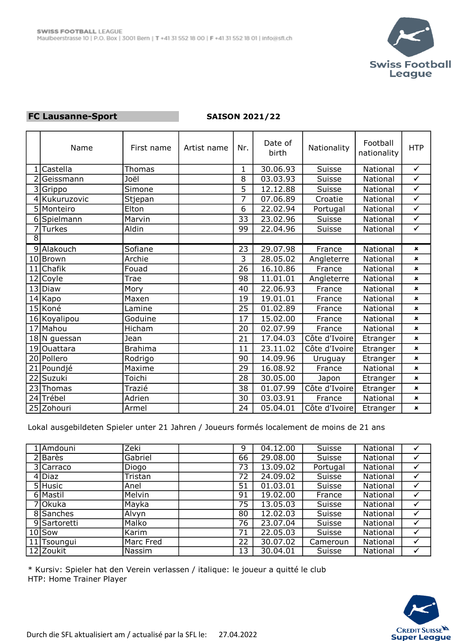

## FC Lausanne-Sport

## SAISON 2021/22

|                | Name            | First name     | Artist name | Nr.             | Date of<br>birth | Nationality   | Football<br>nationality | <b>HTP</b>     |
|----------------|-----------------|----------------|-------------|-----------------|------------------|---------------|-------------------------|----------------|
|                | Castella        | Thomas         |             | $\mathbf 1$     | 30.06.93         | Suisse        | National                | $\checkmark$   |
|                | Geissmann       | Joël           |             | 8               | 03.03.93         | <b>Suisse</b> | National                | $\checkmark$   |
| 3              | Grippo          | Simone         |             | 5               | 12.12.88         | Suisse        | National                | $\checkmark$   |
| $\overline{4}$ | Kukuruzovic     | Stjepan        |             | $\overline{7}$  | 07.06.89         | Croatie       | National                | $\checkmark$   |
|                | 5 Monteiro      | Elton          |             | 6               | 22.02.94         | Portugal      | National                | $\checkmark$   |
| 6              | Spielmann       | Marvin         |             | 33              | 23.02.96         | <b>Suisse</b> | National                | $\checkmark$   |
| 7              | Turkes          | Aldin          |             | 99              | 22.04.96         | Suisse        | National                | $\checkmark$   |
| $\overline{8}$ |                 |                |             |                 |                  |               |                         |                |
|                | 9 Alakouch      | Sofiane        |             | 23              | 29.07.98         | France        | National                | $\pmb{\times}$ |
| 10             | Brown           | Archie         |             | 3               | 28.05.02         | Angleterre    | National                | $\pmb{\times}$ |
| 11             | Chafik          | Fouad          |             | 26              | 16.10.86         | France        | National                | $\pmb{\times}$ |
| 12             | Coyle           | Trae           |             | 98              | 11.01.01         | Angleterre    | National                | $\mathbf x$    |
| 13             | Diaw            | Mory           |             | 40              | 22.06.93         | France        | National                | $\pmb{\times}$ |
| 14             | Kapo            | Maxen          |             | 19              | 19.01.01         | France        | National                | $\pmb{\times}$ |
| 15             | Koné            | Lamine         |             | $\overline{25}$ | 01.02.89         | France        | National                | $\pmb{\times}$ |
|                | 16 Koyalipou    | Goduine        |             | 17              | 15.02.00         | France        | National                | $\pmb{\times}$ |
| 17             | Mahou           | Hicham         |             | 20              | 02.07.99         | France        | National                | $\pmb{\times}$ |
|                | $18$  N guessan | Jean           |             | 21              | 17.04.03         | Côte d'Ivoire | Etranger                | $\pmb{\times}$ |
|                | 19 Ouattara     | <b>Brahima</b> |             | 11              | 23.11.02         | Côte d'Ivoire | Etranger                | $\pmb{\times}$ |
|                | 20 Pollero      | Rodrigo        |             | 90              | 14.09.96         | Uruguay       | Etranger                | $\mathbf x$    |
| 21             | Poundjé         | Maxime         |             | 29              | 16.08.92         | France        | National                | $\pmb{\times}$ |
| 22             | <b>Suzuki</b>   | Toichi         |             | 28              | 30.05.00         | Japon         | Etranger                | $\pmb{\times}$ |
| 23             | Thomas          | Trazié         |             | 38              | 01.07.99         | Côte d'Ivoire | Etranger                | $\mathbf{x}$   |
|                | 24 Trébel       | Adrien         |             | 30              | 03.03.91         | France        | National                | $\pmb{\times}$ |
|                | 25 Zohouri      | Armel          |             | 24              | 05.04.01         | Côte d'Ivoire | Etranger                | $\pmb{x}$      |

Lokal ausgebildeten Spieler unter 21 Jahren / Joueurs formés localement de moins de 21 ans

| Amdouni      | Zeki      | 9  | 04.12.00 | <b>Suisse</b> | National |              |
|--------------|-----------|----|----------|---------------|----------|--------------|
| 2 Barès      | Gabriel   | 66 | 29.08.00 | Suisse        | National |              |
| 3 Carraco    | Diogo     | 73 | 13.09.02 | Portugal      | National |              |
| 4 Diaz       | Tristan   | 72 | 24.09.02 | Suisse        | National | √            |
| 5 Husic      | Anel      | 51 | 01.03.01 | Suisse        | National | ✓            |
| 6 Mastil     | Melvin    | 91 | 19.02.00 | France        | National | $\checkmark$ |
| 7 Okuka      | Mayka     | 75 | 13.05.03 | Suisse        | National | $\checkmark$ |
| 8 Sanches    | Alvyn     | 80 | 12.02.03 | Suisse        | National |              |
| 9 Sartoretti | Malko     | 76 | 23.07.04 | Suisse        | National |              |
| $10$ Sow     | Karim     | 71 | 22.05.03 | Suisse        | National |              |
| 11 Tsoungui  | Marc Fred | 22 | 30.07.02 | Cameroun      | National | ✔            |
| 12 Zoukit    | Nassim    | 13 | 30.04.01 | Suisse        | National |              |

\* Kursiv: Spieler hat den Verein verlassen / italique: le joueur a quitté le club HTP: Home Trainer Player